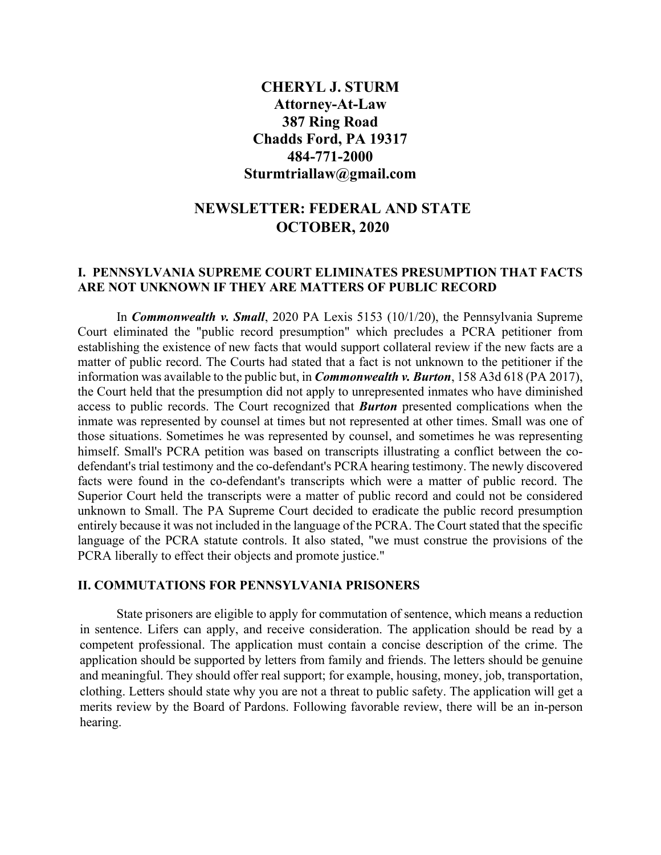## **CHERYL J. STURM Attorney-At-Law 387 Ring Road Chadds Ford, PA 19317 484-771-2000 Sturmtriallaw@gmail.com**

# **NEWSLETTER: FEDERAL AND STATE OCTOBER, 2020**

## **I. PENNSYLVANIA SUPREME COURT ELIMINATES PRESUMPTION THAT FACTS ARE NOT UNKNOWN IF THEY ARE MATTERS OF PUBLIC RECORD**

In *Commonwealth v. Small*, 2020 PA Lexis 5153 (10/1/20), the Pennsylvania Supreme Court eliminated the "public record presumption" which precludes a PCRA petitioner from establishing the existence of new facts that would support collateral review if the new facts are a matter of public record. The Courts had stated that a fact is not unknown to the petitioner if the information was available to the public but, in *Commonwealth v. Burton*, 158 A3d 618 (PA 2017), the Court held that the presumption did not apply to unrepresented inmates who have diminished access to public records. The Court recognized that *Burton* presented complications when the inmate was represented by counsel at times but not represented at other times. Small was one of those situations. Sometimes he was represented by counsel, and sometimes he was representing himself. Small's PCRA petition was based on transcripts illustrating a conflict between the codefendant's trial testimony and the co-defendant's PCRA hearing testimony. The newly discovered facts were found in the co-defendant's transcripts which were a matter of public record. The Superior Court held the transcripts were a matter of public record and could not be considered unknown to Small. The PA Supreme Court decided to eradicate the public record presumption entirely because it was not included in the language of the PCRA. The Court stated that the specific language of the PCRA statute controls. It also stated, "we must construe the provisions of the PCRA liberally to effect their objects and promote justice."

#### **II. COMMUTATIONS FOR PENNSYLVANIA PRISONERS**

State prisoners are eligible to apply for commutation of sentence, which means a reduction in sentence. Lifers can apply, and receive consideration. The application should be read by a competent professional. The application must contain a concise description of the crime. The application should be supported by letters from family and friends. The letters should be genuine and meaningful. They should offer real support; for example, housing, money, job, transportation, clothing. Letters should state why you are not a threat to public safety. The application will get a merits review by the Board of Pardons. Following favorable review, there will be an in-person hearing.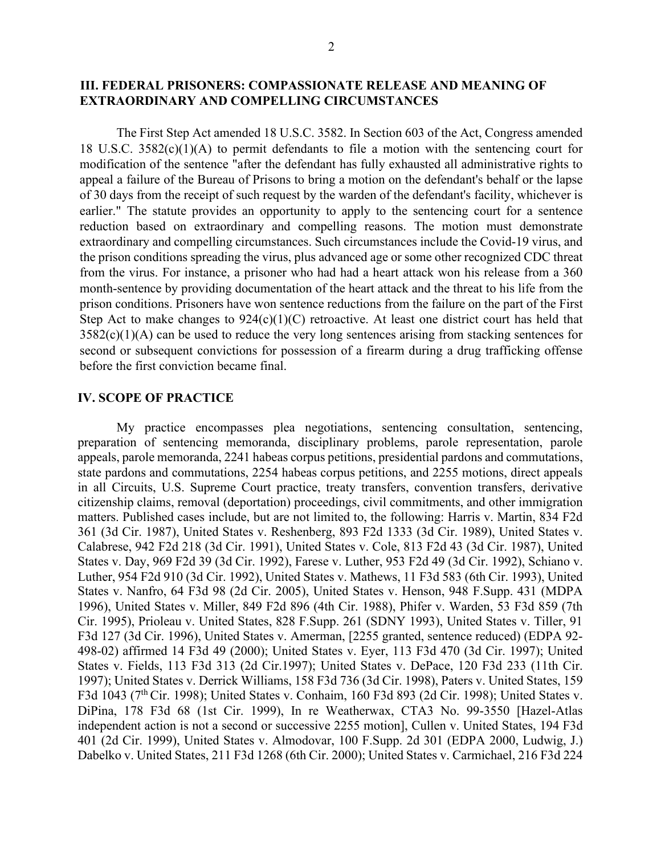### **III. FEDERAL PRISONERS: COMPASSIONATE RELEASE AND MEANING OF EXTRAORDINARY AND COMPELLING CIRCUMSTANCES**

The First Step Act amended 18 U.S.C. 3582. In Section 603 of the Act, Congress amended 18 U.S.C. 3582(c)(1)(A) to permit defendants to file a motion with the sentencing court for modification of the sentence "after the defendant has fully exhausted all administrative rights to appeal a failure of the Bureau of Prisons to bring a motion on the defendant's behalf or the lapse of 30 days from the receipt of such request by the warden of the defendant's facility, whichever is earlier." The statute provides an opportunity to apply to the sentencing court for a sentence reduction based on extraordinary and compelling reasons. The motion must demonstrate extraordinary and compelling circumstances. Such circumstances include the Covid-19 virus, and the prison conditions spreading the virus, plus advanced age or some other recognized CDC threat from the virus. For instance, a prisoner who had had a heart attack won his release from a 360 month-sentence by providing documentation of the heart attack and the threat to his life from the prison conditions. Prisoners have won sentence reductions from the failure on the part of the First Step Act to make changes to 924(c)(1)(C) retroactive. At least one district court has held that  $3582(c)(1)(A)$  can be used to reduce the very long sentences arising from stacking sentences for second or subsequent convictions for possession of a firearm during a drug trafficking offense before the first conviction became final.

#### **IV. SCOPE OF PRACTICE**

My practice encompasses plea negotiations, sentencing consultation, sentencing, preparation of sentencing memoranda, disciplinary problems, parole representation, parole appeals, parole memoranda, 2241 habeas corpus petitions, presidential pardons and commutations, state pardons and commutations, 2254 habeas corpus petitions, and 2255 motions, direct appeals in all Circuits, U.S. Supreme Court practice, treaty transfers, convention transfers, derivative citizenship claims, removal (deportation) proceedings, civil commitments, and other immigration matters. Published cases include, but are not limited to, the following: Harris v. Martin, 834 F2d 361 (3d Cir. 1987), United States v. Reshenberg, 893 F2d 1333 (3d Cir. 1989), United States v. Calabrese, 942 F2d 218 (3d Cir. 1991), United States v. Cole, 813 F2d 43 (3d Cir. 1987), United States v. Day, 969 F2d 39 (3d Cir. 1992), Farese v. Luther, 953 F2d 49 (3d Cir. 1992), Schiano v. Luther, 954 F2d 910 (3d Cir. 1992), United States v. Mathews, 11 F3d 583 (6th Cir. 1993), United States v. Nanfro, 64 F3d 98 (2d Cir. 2005), United States v. Henson, 948 F.Supp. 431 (MDPA 1996), United States v. Miller, 849 F2d 896 (4th Cir. 1988), Phifer v. Warden, 53 F3d 859 (7th Cir. 1995), Prioleau v. United States, 828 F.Supp. 261 (SDNY 1993), United States v. Tiller, 91 F3d 127 (3d Cir. 1996), United States v. Amerman, [2255 granted, sentence reduced) (EDPA 92- 498-02) affirmed 14 F3d 49 (2000); United States v. Eyer, 113 F3d 470 (3d Cir. 1997); United States v. Fields, 113 F3d 313 (2d Cir.1997); United States v. DePace, 120 F3d 233 (11th Cir. 1997); United States v. Derrick Williams, 158 F3d 736 (3d Cir. 1998), Paters v. United States, 159 F3d 1043 (7<sup>th</sup> Cir. 1998); United States v. Conhaim, 160 F3d 893 (2d Cir. 1998); United States v. DiPina, 178 F3d 68 (1st Cir. 1999), In re Weatherwax, CTA3 No. 99-3550 [Hazel-Atlas independent action is not a second or successive 2255 motion], Cullen v. United States, 194 F3d 401 (2d Cir. 1999), United States v. Almodovar, 100 F.Supp. 2d 301 (EDPA 2000, Ludwig, J.) Dabelko v. United States, 211 F3d 1268 (6th Cir. 2000); United States v. Carmichael, 216 F3d 224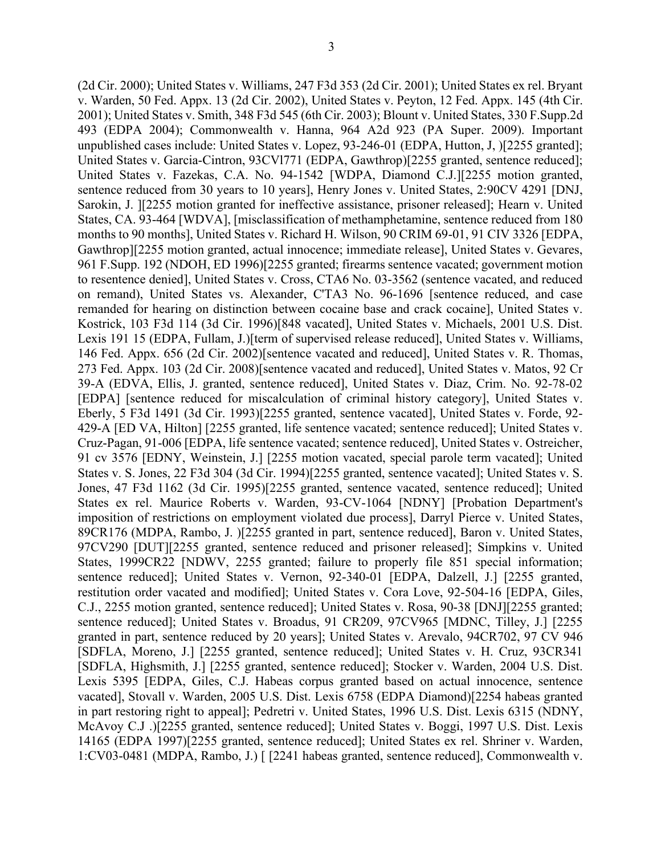(2d Cir. 2000); United States v. Williams, 247 F3d 353 (2d Cir. 2001); United States ex rel. Bryant v. Warden, 50 Fed. Appx. 13 (2d Cir. 2002), United States v. Peyton, 12 Fed. Appx. 145 (4th Cir. 2001); United States v. Smith, 348 F3d 545 (6th Cir. 2003); Blount v. United States, 330 F.Supp.2d 493 (EDPA 2004); Commonwealth v. Hanna, 964 A2d 923 (PA Super. 2009). Important unpublished cases include: United States v. Lopez, 93-246-01 (EDPA, Hutton, J, )[2255 granted]; United States v. Garcia-Cintron, 93CVl771 (EDPA, Gawthrop)[2255 granted, sentence reduced]; United States v. Fazekas, C.A. No. 94-1542 [WDPA, Diamond C.J.][2255 motion granted, sentence reduced from 30 years to 10 years], Henry Jones v. United States, 2:90CV 4291 [DNJ, Sarokin, J. ][2255 motion granted for ineffective assistance, prisoner released]; Hearn v. United States, CA. 93-464 [WDVA], [misclassification of methamphetamine, sentence reduced from 180 months to 90 months], United States v. Richard H. Wilson, 90 CRIM 69-01, 91 CIV 3326 [EDPA, Gawthrop][2255 motion granted, actual innocence; immediate release], United States v. Gevares, 961 F.Supp. 192 (NDOH, ED 1996)[2255 granted; firearms sentence vacated; government motion to resentence denied], United States v. Cross, CTA6 No. 03-3562 (sentence vacated, and reduced on remand), United States vs. Alexander, C'TA3 No. 96-1696 [sentence reduced, and case remanded for hearing on distinction between cocaine base and crack cocaine], United States v. Kostrick, 103 F3d 114 (3d Cir. 1996)[848 vacated], United States v. Michaels, 2001 U.S. Dist. Lexis 191 15 (EDPA, Fullam, J.)[term of supervised release reduced], United States v. Williams, 146 Fed. Appx. 656 (2d Cir. 2002)[sentence vacated and reduced], United States v. R. Thomas, 273 Fed. Appx. 103 (2d Cir. 2008)[sentence vacated and reduced], United States v. Matos, 92 Cr 39-A (EDVA, Ellis, J. granted, sentence reduced], United States v. Diaz, Crim. No. 92-78-02 [EDPA] [sentence reduced for miscalculation of criminal history category], United States v. Eberly, 5 F3d 1491 (3d Cir. 1993)[2255 granted, sentence vacated], United States v. Forde, 92- 429-A [ED VA, Hilton] [2255 granted, life sentence vacated; sentence reduced]; United States v. Cruz-Pagan, 91-006 [EDPA, life sentence vacated; sentence reduced], United States v. Ostreicher, 91 cv 3576 [EDNY, Weinstein, J.] [2255 motion vacated, special parole term vacated]; United States v. S. Jones, 22 F3d 304 (3d Cir. 1994)[2255 granted, sentence vacated]; United States v. S. Jones, 47 F3d 1162 (3d Cir. 1995)[2255 granted, sentence vacated, sentence reduced]; United States ex rel. Maurice Roberts v. Warden, 93-CV-1064 [NDNY] [Probation Department's imposition of restrictions on employment violated due process], Darryl Pierce v. United States, 89CR176 (MDPA, Rambo, J. )[2255 granted in part, sentence reduced], Baron v. United States, 97CV290 [DUT][2255 granted, sentence reduced and prisoner released]; Simpkins v. United States, 1999CR22 [NDWV, 2255 granted; failure to properly file 851 special information; sentence reduced]; United States v. Vernon, 92-340-01 [EDPA, Dalzell, J.] [2255 granted, restitution order vacated and modified]; United States v. Cora Love, 92-504-16 [EDPA, Giles, C.J., 2255 motion granted, sentence reduced]; United States v. Rosa, 90-38 [DNJ][2255 granted; sentence reduced]; United States v. Broadus, 91 CR209, 97CV965 [MDNC, Tilley, J.] [2255 granted in part, sentence reduced by 20 years]; United States v. Arevalo, 94CR702, 97 CV 946 [SDFLA, Moreno, J.] [2255 granted, sentence reduced]; United States v. H. Cruz, 93CR341 [SDFLA, Highsmith, J.] [2255 granted, sentence reduced]; Stocker v. Warden, 2004 U.S. Dist. Lexis 5395 [EDPA, Giles, C.J. Habeas corpus granted based on actual innocence, sentence vacated], Stovall v. Warden, 2005 U.S. Dist. Lexis 6758 (EDPA Diamond)[2254 habeas granted in part restoring right to appeal]; Pedretri v. United States, 1996 U.S. Dist. Lexis 6315 (NDNY, McAvoy C.J .)[2255 granted, sentence reduced]; United States v. Boggi, 1997 U.S. Dist. Lexis 14165 (EDPA 1997)[2255 granted, sentence reduced]; United States ex rel. Shriner v. Warden, 1:CV03-0481 (MDPA, Rambo, J.) [ [2241 habeas granted, sentence reduced], Commonwealth v.